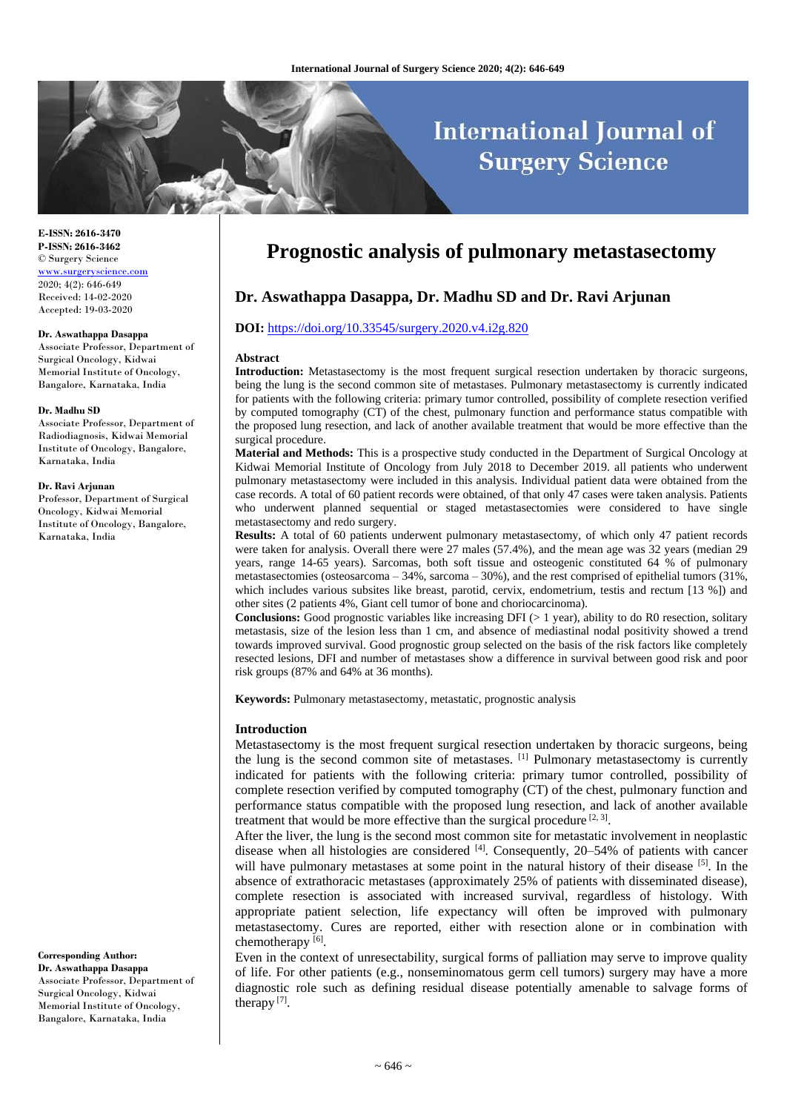# **International Journal of Surgery Science**

**E-ISSN: 2616-3470 P-ISSN: 2616-3462** © Surgery Science [www.surgeryscience.com](http://www.surgeryscience.com/) 2020; 4(2): 646-649 Received: 14-02-2020 Accepted: 19-03-2020

#### **Dr. Aswathappa Dasappa**

Associate Professor, Department of Surgical Oncology, Kidwai Memorial Institute of Oncology, Bangalore, Karnataka, India

#### **Dr. Madhu SD**

Associate Professor, Department of Radiodiagnosis, Kidwai Memorial Institute of Oncology, Bangalore, Karnataka, India

#### **Dr. Ravi Arjunan**

Professor, Department of Surgical Oncology, Kidwai Memorial Institute of Oncology, Bangalore, Karnataka, India

**Corresponding Author: Dr. Aswathappa Dasappa** Associate Professor, Department of Surgical Oncology, Kidwai Memorial Institute of Oncology, Bangalore, Karnataka, India

# **Prognostic analysis of pulmonary metastasectomy**

# **Dr. Aswathappa Dasappa, Dr. Madhu SD and Dr. Ravi Arjunan**

# **DOI:** <https://doi.org/10.33545/surgery.2020.v4.i2g.820>

#### **Abstract**

**Introduction:** Metastasectomy is the most frequent surgical resection undertaken by thoracic surgeons, being the lung is the second common site of metastases. Pulmonary metastasectomy is currently indicated for patients with the following criteria: primary tumor controlled, possibility of complete resection verified by computed tomography (CT) of the chest, pulmonary function and performance status compatible with the proposed lung resection, and lack of another available treatment that would be more effective than the surgical procedure.

**Material and Methods:** This is a prospective study conducted in the Department of Surgical Oncology at Kidwai Memorial Institute of Oncology from July 2018 to December 2019. all patients who underwent pulmonary metastasectomy were included in this analysis. Individual patient data were obtained from the case records. A total of 60 patient records were obtained, of that only 47 cases were taken analysis. Patients who underwent planned sequential or staged metastasectomies were considered to have single metastasectomy and redo surgery.

**Results:** A total of 60 patients underwent pulmonary metastasectomy, of which only 47 patient records were taken for analysis. Overall there were 27 males (57.4%), and the mean age was 32 years (median 29 years, range 14-65 years). Sarcomas, both soft tissue and osteogenic constituted 64 % of pulmonary metastasectomies (osteosarcoma – 34%, sarcoma – 30%), and the rest comprised of epithelial tumors (31%, which includes various subsites like breast, parotid, cervix, endometrium, testis and rectum [13 %]) and other sites (2 patients 4%, Giant cell tumor of bone and choriocarcinoma).

**Conclusions:** Good prognostic variables like increasing DFI (> 1 year), ability to do R0 resection, solitary metastasis, size of the lesion less than 1 cm, and absence of mediastinal nodal positivity showed a trend towards improved survival. Good prognostic group selected on the basis of the risk factors like completely resected lesions, DFI and number of metastases show a difference in survival between good risk and poor risk groups (87% and 64% at 36 months).

**Keywords:** Pulmonary metastasectomy, metastatic, prognostic analysis

#### **Introduction**

Metastasectomy is the most frequent surgical resection undertaken by thoracic surgeons, being the lung is the second common site of metastases. [1] Pulmonary metastasectomy is currently indicated for patients with the following criteria: primary tumor controlled, possibility of complete resection verified by computed tomography (CT) of the chest, pulmonary function and performance status compatible with the proposed lung resection, and lack of another available treatment that would be more effective than the surgical procedure  $[2, 3]$ .

After the liver, the lung is the second most common site for metastatic involvement in neoplastic disease when all histologies are considered  $[4]$ . Consequently, 20–54% of patients with cancer will have pulmonary metastases at some point in the natural history of their disease [5]. In the absence of extrathoracic metastases (approximately 25% of patients with disseminated disease), complete resection is associated with increased survival, regardless of histology. With appropriate patient selection, life expectancy will often be improved with pulmonary metastasectomy. Cures are reported, either with resection alone or in combination with chemotherapy<sup>[6]</sup>.

Even in the context of unresectability, surgical forms of palliation may serve to improve quality of life. For other patients (e.g., nonseminomatous germ cell tumors) surgery may have a more diagnostic role such as defining residual disease potentially amenable to salvage forms of therapy<sup>[7]</sup>.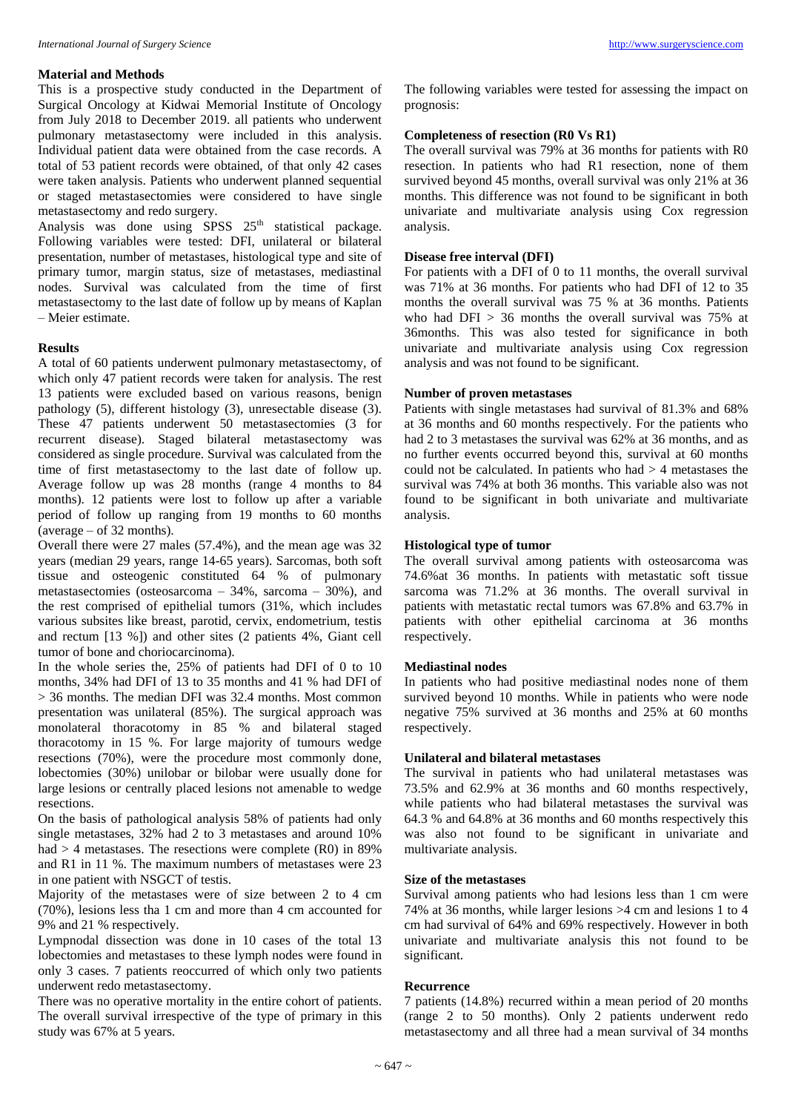# **Material and Methods**

This is a prospective study conducted in the Department of Surgical Oncology at Kidwai Memorial Institute of Oncology from July 2018 to December 2019. all patients who underwent pulmonary metastasectomy were included in this analysis. Individual patient data were obtained from the case records. A total of 53 patient records were obtained, of that only 42 cases were taken analysis. Patients who underwent planned sequential or staged metastasectomies were considered to have single metastasectomy and redo surgery.

Analysis was done using  $SPSS$  25<sup>th</sup> statistical package. Following variables were tested: DFI, unilateral or bilateral presentation, number of metastases, histological type and site of primary tumor, margin status, size of metastases, mediastinal nodes. Survival was calculated from the time of first metastasectomy to the last date of follow up by means of Kaplan – Meier estimate.

#### **Results**

A total of 60 patients underwent pulmonary metastasectomy, of which only 47 patient records were taken for analysis. The rest 13 patients were excluded based on various reasons, benign pathology (5), different histology (3), unresectable disease (3). These 47 patients underwent 50 metastasectomies (3 for recurrent disease). Staged bilateral metastasectomy was considered as single procedure. Survival was calculated from the time of first metastasectomy to the last date of follow up. Average follow up was 28 months (range 4 months to 84 months). 12 patients were lost to follow up after a variable period of follow up ranging from 19 months to 60 months  $(average - of 32 months).$ 

Overall there were 27 males (57.4%), and the mean age was 32 years (median 29 years, range 14-65 years). Sarcomas, both soft tissue and osteogenic constituted 64 % of pulmonary metastasectomies (osteosarcoma – 34%, sarcoma – 30%), and the rest comprised of epithelial tumors (31%, which includes various subsites like breast, parotid, cervix, endometrium, testis and rectum [13 %]) and other sites (2 patients 4%, Giant cell tumor of bone and choriocarcinoma).

In the whole series the, 25% of patients had DFI of 0 to 10 months, 34% had DFI of 13 to 35 months and 41 % had DFI of > 36 months. The median DFI was 32.4 months. Most common presentation was unilateral (85%). The surgical approach was monolateral thoracotomy in 85 % and bilateral staged thoracotomy in 15 %. For large majority of tumours wedge resections (70%), were the procedure most commonly done, lobectomies (30%) unilobar or bilobar were usually done for large lesions or centrally placed lesions not amenable to wedge resections.

On the basis of pathological analysis 58% of patients had only single metastases, 32% had 2 to 3 metastases and around 10% had  $>$  4 metastases. The resections were complete (R0) in 89% and R1 in 11 %. The maximum numbers of metastases were 23 in one patient with NSGCT of testis.

Majority of the metastases were of size between 2 to 4 cm (70%), lesions less tha 1 cm and more than 4 cm accounted for 9% and 21 % respectively.

Lympnodal dissection was done in 10 cases of the total 13 lobectomies and metastases to these lymph nodes were found in only 3 cases. 7 patients reoccurred of which only two patients underwent redo metastasectomy.

There was no operative mortality in the entire cohort of patients. The overall survival irrespective of the type of primary in this study was 67% at 5 years.

The following variables were tested for assessing the impact on prognosis:

# **Completeness of resection (R0 Vs R1)**

The overall survival was 79% at 36 months for patients with R0 resection. In patients who had R1 resection, none of them survived beyond 45 months, overall survival was only 21% at 36 months. This difference was not found to be significant in both univariate and multivariate analysis using Cox regression analysis.

# **Disease free interval (DFI)**

For patients with a DFI of 0 to 11 months, the overall survival was 71% at 36 months. For patients who had DFI of 12 to 35 months the overall survival was 75 % at 36 months. Patients who had DFI > 36 months the overall survival was 75% at 36months. This was also tested for significance in both univariate and multivariate analysis using Cox regression analysis and was not found to be significant.

# **Number of proven metastases**

Patients with single metastases had survival of 81.3% and 68% at 36 months and 60 months respectively. For the patients who had 2 to 3 metastases the survival was 62% at 36 months, and as no further events occurred beyond this, survival at 60 months could not be calculated. In patients who had  $> 4$  metastases the survival was 74% at both 36 months. This variable also was not found to be significant in both univariate and multivariate analysis.

# **Histological type of tumor**

The overall survival among patients with osteosarcoma was 74.6%at 36 months. In patients with metastatic soft tissue sarcoma was 71.2% at 36 months. The overall survival in patients with metastatic rectal tumors was 67.8% and 63.7% in patients with other epithelial carcinoma at 36 months respectively.

#### **Mediastinal nodes**

In patients who had positive mediastinal nodes none of them survived beyond 10 months. While in patients who were node negative 75% survived at 36 months and 25% at 60 months respectively.

## **Unilateral and bilateral metastases**

The survival in patients who had unilateral metastases was 73.5% and 62.9% at 36 months and 60 months respectively, while patients who had bilateral metastases the survival was 64.3 % and 64.8% at 36 months and 60 months respectively this was also not found to be significant in univariate and multivariate analysis.

# **Size of the metastases**

Survival among patients who had lesions less than 1 cm were 74% at 36 months, while larger lesions >4 cm and lesions 1 to 4 cm had survival of 64% and 69% respectively. However in both univariate and multivariate analysis this not found to be significant.

### **Recurrence**

7 patients (14.8%) recurred within a mean period of 20 months (range 2 to 50 months). Only 2 patients underwent redo metastasectomy and all three had a mean survival of 34 months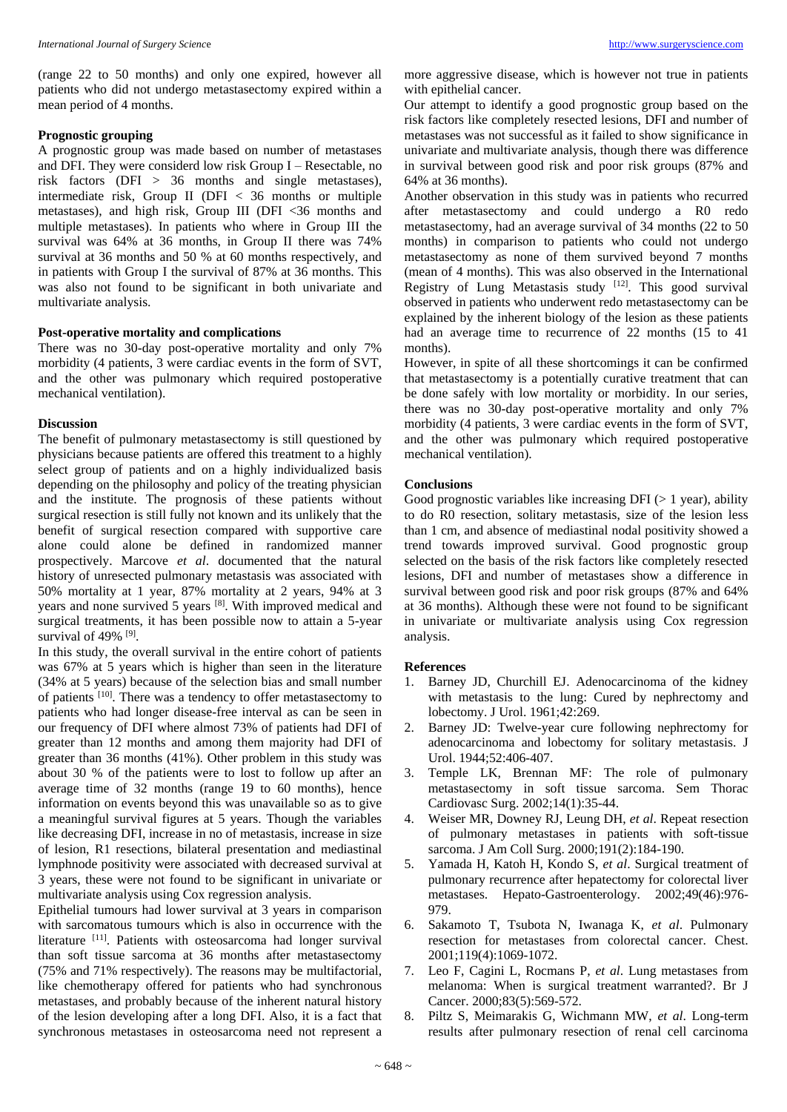(range 22 to 50 months) and only one expired, however all patients who did not undergo metastasectomy expired within a mean period of 4 months.

# **Prognostic grouping**

A prognostic group was made based on number of metastases and DFI. They were considerd low risk Group I – Resectable, no risk factors (DFI > 36 months and single metastases), intermediate risk, Group II (DFI < 36 months or multiple metastases), and high risk, Group III (DFI <36 months and multiple metastases). In patients who where in Group III the survival was 64% at 36 months, in Group II there was 74% survival at 36 months and 50 % at 60 months respectively, and in patients with Group I the survival of 87% at 36 months. This was also not found to be significant in both univariate and multivariate analysis.

## **Post-operative mortality and complications**

There was no 30-day post-operative mortality and only 7% morbidity (4 patients, 3 were cardiac events in the form of SVT, and the other was pulmonary which required postoperative mechanical ventilation).

# **Discussion**

The benefit of pulmonary metastasectomy is still questioned by physicians because patients are offered this treatment to a highly select group of patients and on a highly individualized basis depending on the philosophy and policy of the treating physician and the institute. The prognosis of these patients without surgical resection is still fully not known and its unlikely that the benefit of surgical resection compared with supportive care alone could alone be defined in randomized manner prospectively. Marcove *et al*. documented that the natural history of unresected pulmonary metastasis was associated with 50% mortality at 1 year, 87% mortality at 2 years, 94% at 3 years and none survived 5 years [8]. With improved medical and surgical treatments, it has been possible now to attain a 5-year survival of 49% [9].

In this study, the overall survival in the entire cohort of patients was 67% at 5 years which is higher than seen in the literature (34% at 5 years) because of the selection bias and small number of patients [10]. There was a tendency to offer metastasectomy to patients who had longer disease-free interval as can be seen in our frequency of DFI where almost 73% of patients had DFI of greater than 12 months and among them majority had DFI of greater than 36 months (41%). Other problem in this study was about 30 % of the patients were to lost to follow up after an average time of 32 months (range 19 to 60 months), hence information on events beyond this was unavailable so as to give a meaningful survival figures at 5 years. Though the variables like decreasing DFI, increase in no of metastasis, increase in size of lesion, R1 resections, bilateral presentation and mediastinal lymphnode positivity were associated with decreased survival at 3 years, these were not found to be significant in univariate or multivariate analysis using Cox regression analysis.

Epithelial tumours had lower survival at 3 years in comparison with sarcomatous tumours which is also in occurrence with the literature <sup>[11]</sup>. Patients with osteosarcoma had longer survival than soft tissue sarcoma at 36 months after metastasectomy (75% and 71% respectively). The reasons may be multifactorial, like chemotherapy offered for patients who had synchronous metastases, and probably because of the inherent natural history of the lesion developing after a long DFI. Also, it is a fact that synchronous metastases in osteosarcoma need not represent a

more aggressive disease, which is however not true in patients with epithelial cancer.

Our attempt to identify a good prognostic group based on the risk factors like completely resected lesions, DFI and number of metastases was not successful as it failed to show significance in univariate and multivariate analysis, though there was difference in survival between good risk and poor risk groups (87% and 64% at 36 months).

Another observation in this study was in patients who recurred after metastasectomy and could undergo a R0 redo metastasectomy, had an average survival of 34 months (22 to 50 months) in comparison to patients who could not undergo metastasectomy as none of them survived beyond 7 months (mean of 4 months). This was also observed in the International Registry of Lung Metastasis study  $[12]$ . This good survival observed in patients who underwent redo metastasectomy can be explained by the inherent biology of the lesion as these patients had an average time to recurrence of 22 months (15 to 41 months).

However, in spite of all these shortcomings it can be confirmed that metastasectomy is a potentially curative treatment that can be done safely with low mortality or morbidity. In our series, there was no 30-day post-operative mortality and only 7% morbidity (4 patients, 3 were cardiac events in the form of SVT, and the other was pulmonary which required postoperative mechanical ventilation).

#### **Conclusions**

Good prognostic variables like increasing DFI  $(> 1 \text{ year})$ , ability to do R0 resection, solitary metastasis, size of the lesion less than 1 cm, and absence of mediastinal nodal positivity showed a trend towards improved survival. Good prognostic group selected on the basis of the risk factors like completely resected lesions, DFI and number of metastases show a difference in survival between good risk and poor risk groups (87% and 64% at 36 months). Although these were not found to be significant in univariate or multivariate analysis using Cox regression analysis.

#### **References**

- 1. Barney JD, Churchill EJ. Adenocarcinoma of the kidney with metastasis to the lung: Cured by nephrectomy and lobectomy. J Urol. 1961;42:269.
- 2. Barney JD: Twelve-year cure following nephrectomy for adenocarcinoma and lobectomy for solitary metastasis. J Urol. 1944;52:406-407.
- 3. Temple LK, Brennan MF: The role of pulmonary metastasectomy in soft tissue sarcoma. Sem Thorac Cardiovasc Surg. 2002;14(1):35-44.
- 4. Weiser MR, Downey RJ, Leung DH, *et al*. Repeat resection of pulmonary metastases in patients with soft-tissue sarcoma. J Am Coll Surg. 2000;191(2):184-190.
- 5. Yamada H, Katoh H, Kondo S, *et al*. Surgical treatment of pulmonary recurrence after hepatectomy for colorectal liver metastases. Hepato-Gastroenterology. 2002;49(46):976- 979.
- 6. Sakamoto T, Tsubota N, Iwanaga K, *et al*. Pulmonary resection for metastases from colorectal cancer. Chest. 2001;119(4):1069-1072.
- 7. Leo F, Cagini L, Rocmans P, *et al*. Lung metastases from melanoma: When is surgical treatment warranted?. Br J Cancer. 2000;83(5):569-572.
- 8. Piltz S, Meimarakis G, Wichmann MW, *et al*. Long-term results after pulmonary resection of renal cell carcinoma